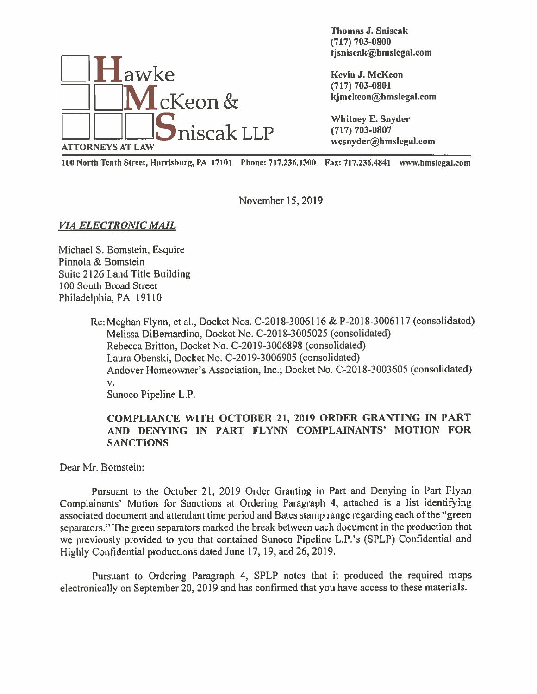

Thomas J. Sniscak (717) 703-0800 thomas J. Sniscak<br>
(717) 703-0800<br>
tjsniscak@hmslegal.com

IOU North Tenth Street, Harrisburg, PA 17101 Phone: 717.236.1300 Fax: 717.236.4841 www.hmsIegal.com

November 15, 2019

## VIA ELECTRONIC MAIL

Michael S. Bomstein, Esquire Pinnola & Bomstein Suite 2126 Land Title Building 100 South Broad Street Philadelphia, PA 19110

> Re:Meghan Flynn. et al., Docket Nos. C-2018-30061 <sup>16</sup> & P-2018-30061 <sup>17</sup> (consolidated) Melissa DiBernardino. Docket No. C-2018-3005025 (consolidated) Rebecca Britton, Docket No. C-2019-3006898 (consolidated) Laura Obenski, Docket No. C-2019-3006905 (consolidated) Andover Homeowner's Association, Inc.; Docket No. C-2018-3003605 (consolidated)  $V_{\star}$ Sunoco Pipeline L.P.

## COMPLIANCE WITH OCTOBER 21, 2019 ORDER GRANTING IN PART AND DENYING IN PART FLYNN COMPLAINANTS' MOTION FOR **SANCTIONS**

Dear Mr. Bomstein:

Pursuant to the October 21, 2019 Order Granting in Part and Denying in Part Flynn Complainants' Motion for Sanctions at Ordering Paragraph 4, attached is <sup>a</sup> list identifying associated document and attendant time period and Bates stamp range regarding each of the "green separators." The green separators marked the break between each document in the production that we previously provided to you that contained Sunoco Pipeline L.P.'s (SPLP) Confidential and Highly Confidential productions dated June 17, 19, and 26, 2019.

Pursuant to Ordering Paragraph 4, SPLP notes that it produced the required maps electronically on September 20, 2019 and has confirmed that you have access to these materials.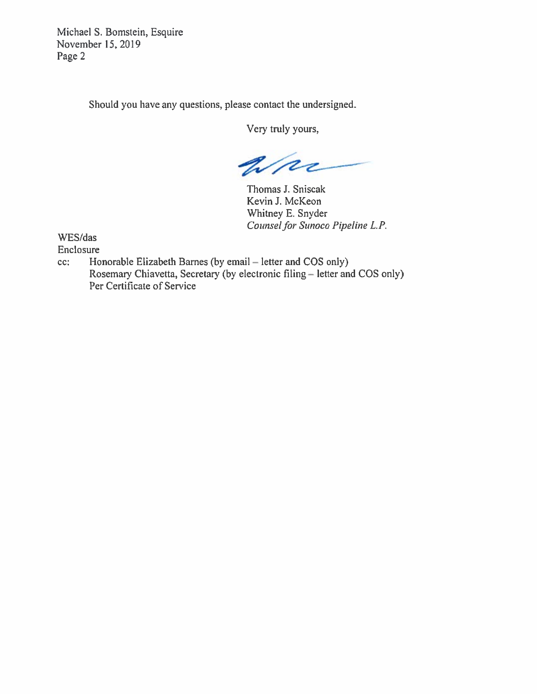Michael S. Bomstein, Esquire November 15, 2019 Page 2

Should you have any questions, please contact the undersigned.

Very truly yours,

Wre

Thomas J. Sniscak Kevin J. McKeon Whitney E. Snyder Counsel for Sunoco Pipeline L.P.

WES/das

Enclosure

cc: Honorable Elizabeth Barnes (by email — letter and COS only) Rosemary Chiavetta. Secretary (by electronic filing — letter and COS only) Per Certificate of Service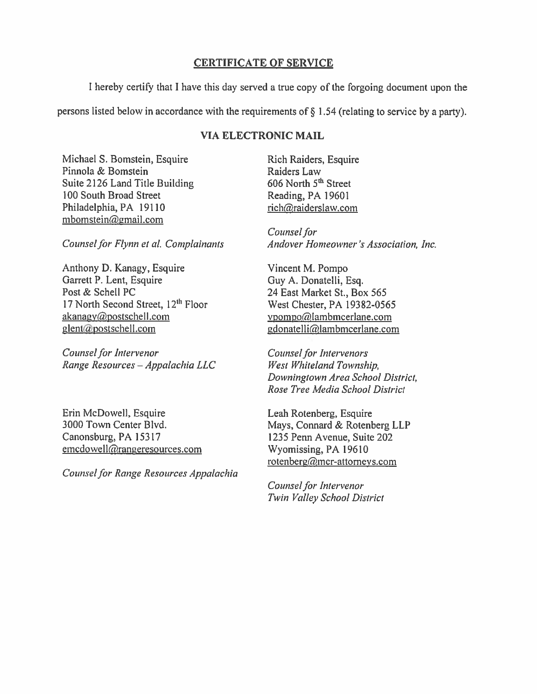## **CERTIFICATE OF SERVICE**

I hereby certify that I have this day served a true copy of the forgoing document upon the

persons listed below in accordance with the requirements of  $\S$  1.54 (relating to service by a party).

## **VIA ELECTRONIC MAIL**

Michael S. Bomstein, Esquire Pinnola & Bomstein Suite 2126 Land Title Building 100 South Broad Street Philadelphia, PA 19110 mbomstein@gmail.com

Counsel for Flynn et al. Complainants

Anthony D. Kanagy, Esquire Garrett P. Lent, Esquire Post & Schell PC 17 North Second Street, 12<sup>th</sup> Floor akanagy@postschell.com glent@postschell.com

Counsel for Intervenor Range Resources - Appalachia LLC

Erin McDowell, Esquire 3000 Town Center Blvd. Canonsburg, PA 15317 emcdowell@rangeresources.com

Counsel for Range Resources Appalachia

Rich Raiders, Esquire Raiders Law 606 North 5<sup>th</sup> Street Reading, PA 19601 rich@raiderslaw.com

Counsel for Andover Homeowner's Association, Inc.

Vincent M. Pompo Guy A. Donatelli, Esq. 24 East Market St., Box 565 West Chester, PA 19382-0565 vpompo@lambmcerlane.com gdonatelli@lambmcerlane.com

**Counsel for Intervenors** West Whiteland Township, Downingtown Area School District, Rose Tree Media School District

Leah Rotenberg, Esquire Mays, Connard & Rotenberg LLP 1235 Penn Avenue, Suite 202 Wyomissing, PA 19610 rotenberg@mcr-attorneys.com

**Counsel for Intervenor** Twin Valley School District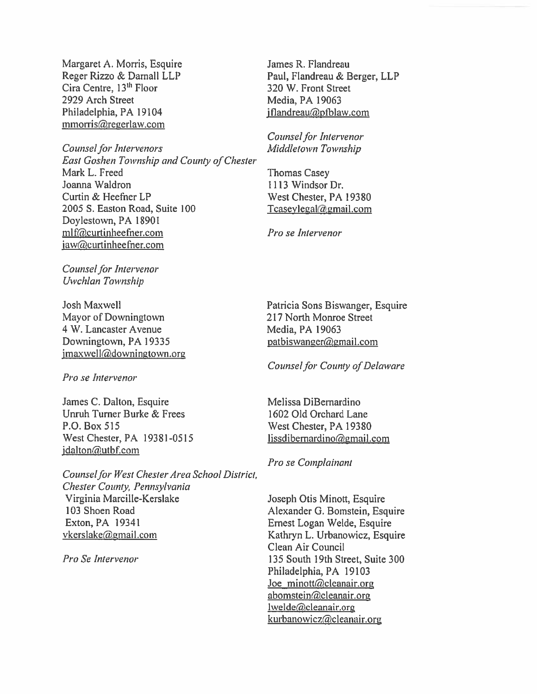Margaret A. Morris, Esquire Reger Rizzo & Darnall LLP Cira Centre, 13<sup>th</sup> Floor 2929 Arch Street Philadelphia, PA 19104  $mmorris@regerlaw.com$ 

Counsel for Intervenors East Goshen Township and County ofChester Mark L. Freed Joanna Waldron Curtin & Heefner LP 2005 5. Easton Road, Suite 100 Doylestown, PA 18901 mlf@curtinheefner.com  $iaw@cutinheefner.com$ 

Counsel for Intervenor Uwchlan Township

Josh Maxwell Mayor of Downingtown 4 W. Lancaster Avenue Downingtown, PA 19335  $jmaxwell$ @downingtown.org

Pro se Intervenor

James C. Dalton, Esquire Unruh Turner Burke & Frees P.O. Box 515 West Chester, PA 19381-0515 jdalton@utbf.com

Counsel for West Chester Area School District, Chester County, Pennsylvania Virginia Marcille-Kerslake 103 Shoen Road Exton,PA 19341 vkerslake@gmail.com

Pro Se Intervenor

James R. Flandreau Paul, Flandreau & Berger, LLP 320 W. Front Street Media, PA 19063 jflandreau@pfblaw.com

Counsel for Intervenor Middletown Township

Thomas Casey 1113 Windsor Dr. West Chester, PA 19380  $T\text{casev}$ legal $@$ gmail.com

Pro se Intervenor

Patricia Sons Biswanger, Esquire 217 North Monroe Street Media, PA 19063 patbiswanger@gmail.com

Counsel for County of Delaware

Melissa DiBernardino 1602 Old Orchard Lane West Chester, PA 19380  $lissdibernardino@gmail.com$ 

Pro se Complainant

Joseph Otis Minott, Esquire Alexander 0. Bomstein, Esquire Ernest Logan Welde, Esquire Kathryn L. Urbanowicz, Esquire Clean Air Council 135 South 19th Street, Suite 300 Philadelphia, PA 19103 Joe minott@cleanair.org abomstein@cleanair.org lwelde@cleanair.org kurbanowicz@cleanair.org